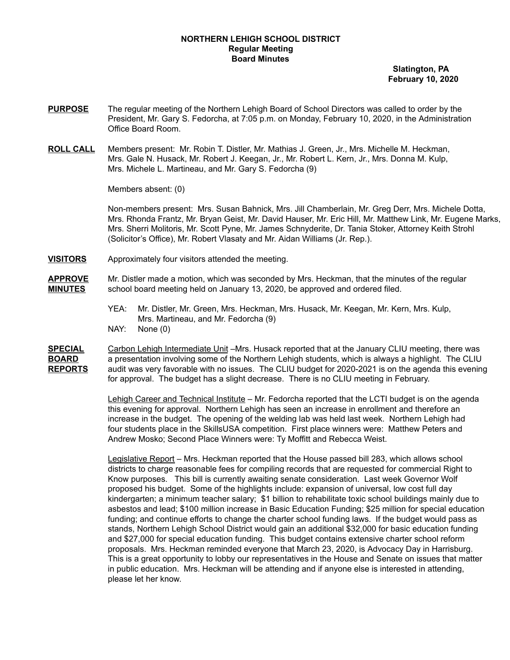## **NORTHERN LEHIGH SCHOOL DISTRICT Regular Meeting Board Minutes**

**Slatington, PA February 10, 2020**

- **PURPOSE** The regular meeting of the Northern Lehigh Board of School Directors was called to order by the President, Mr. Gary S. Fedorcha, at 7:05 p.m. on Monday, February 10, 2020, in the Administration Office Board Room.
- **ROLL CALL** Members present: Mr. Robin T. Distler, Mr. Mathias J. Green, Jr., Mrs. Michelle M. Heckman, Mrs. Gale N. Husack, Mr. Robert J. Keegan, Jr., Mr. Robert L. Kern, Jr., Mrs. Donna M. Kulp, Mrs. Michele L. Martineau, and Mr. Gary S. Fedorcha (9)

Members absent: (0)

Non-members present: Mrs. Susan Bahnick, Mrs. Jill Chamberlain, Mr. Greg Derr, Mrs. Michele Dotta, Mrs. Rhonda Frantz, Mr. Bryan Geist, Mr. David Hauser, Mr. Eric Hill, Mr. Matthew Link, Mr. Eugene Marks, Mrs. Sherri Molitoris, Mr. Scott Pyne, Mr. James Schnyderite, Dr. Tania Stoker, Attorney Keith Strohl (Solicitor's Office), Mr. Robert Vlasaty and Mr. Aidan Williams (Jr. Rep.).

**VISITORS** Approximately four visitors attended the meeting.

**APPROVE** Mr. Distler made a motion, which was seconded by Mrs. Heckman, that the minutes of the regular **MINUTES** school board meeting held on January 13, 2020, be approved and ordered filed.

- YEA: Mr. Distler, Mr. Green, Mrs. Heckman, Mrs. Husack, Mr. Keegan, Mr. Kern, Mrs. Kulp, Mrs. Martineau, and Mr. Fedorcha (9)
- NAY: None (0)
- **SPECIAL** Carbon Lehigh Intermediate Unit –Mrs. Husack reported that at the January CLIU meeting, there was **BOARD** a presentation involving some of the Northern Lehigh students, which is always a highlight. The CLIU **REPORTS** audit was very favorable with no issues. The CLIU budget for 2020-2021 is on the agenda this evening for approval. The budget has a slight decrease. There is no CLIU meeting in February.

Lehigh Career and Technical Institute – Mr. Fedorcha reported that the LCTI budget is on the agenda this evening for approval. Northern Lehigh has seen an increase in enrollment and therefore an increase in the budget. The opening of the welding lab was held last week. Northern Lehigh had four students place in the SkillsUSA competition. First place winners were: Matthew Peters and Andrew Mosko; Second Place Winners were: Ty Moffitt and Rebecca Weist.

Legislative Report – Mrs. Heckman reported that the House passed bill 283, which allows school districts to charge reasonable fees for compiling records that are requested for commercial Right to Know purposes. This bill is currently awaiting senate consideration. Last week Governor Wolf proposed his budget. Some of the highlights include: expansion of universal, low cost full day kindergarten; a minimum teacher salary; \$1 billion to rehabilitate toxic school buildings mainly due to asbestos and lead; \$100 million increase in Basic Education Funding; \$25 million for special education funding; and continue efforts to change the charter school funding laws. If the budget would pass as stands, Northern Lehigh School District would gain an additional \$32,000 for basic education funding and \$27,000 for special education funding. This budget contains extensive charter school reform proposals. Mrs. Heckman reminded everyone that March 23, 2020, is Advocacy Day in Harrisburg. This is a great opportunity to lobby our representatives in the House and Senate on issues that matter in public education. Mrs. Heckman will be attending and if anyone else is interested in attending, please let her know.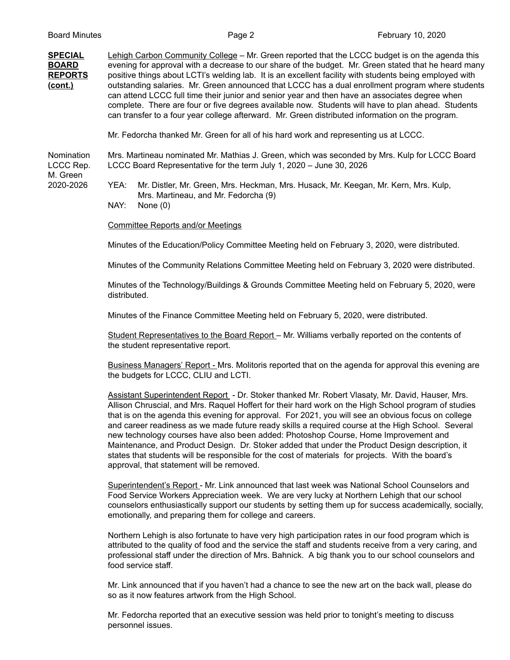## **SPECIAL** Lehigh Carbon Community College – Mr. Green reported that the LCCC budget is on the agenda this **BOARD** evening for approval with a decrease to our share of the budget. Mr. Green stated that he heard many **REPORTS** positive things about LCTI's welding lab. It is an excellent facility with students being employed with **(cont.)** outstanding salaries. Mr. Green announced that LCCC has a dual enrollment program where students can attend LCCC full time their junior and senior year and then have an associates degree when complete. There are four or five degrees available now. Students will have to plan ahead. Students can transfer to a four year college afterward. Mr. Green distributed information on the program.

Mr. Fedorcha thanked Mr. Green for all of his hard work and representing us at LCCC.

Nomination Mrs. Martineau nominated Mr. Mathias J. Green, which was seconded by Mrs. Kulp for LCCC Board LCCC Rep. LCCC Board Representative for the term July 1, 2020 – June 30, 2026

M. Green

2020-2026 YEA: Mr. Distler, Mr. Green, Mrs. Heckman, Mrs. Husack, Mr. Keegan, Mr. Kern, Mrs. Kulp, Mrs. Martineau, and Mr. Fedorcha (9)

NAY: None (0)

Committee Reports and/or Meetings

Minutes of the Education/Policy Committee Meeting held on February 3, 2020, were distributed.

Minutes of the Community Relations Committee Meeting held on February 3, 2020 were distributed.

Minutes of the Technology/Buildings & Grounds Committee Meeting held on February 5, 2020, were distributed.

Minutes of the Finance Committee Meeting held on February 5, 2020, were distributed.

Student Representatives to the Board Report – Mr. Williams verbally reported on the contents of the student representative report.

Business Managers' Report - Mrs. Molitoris reported that on the agenda for approval this evening are the budgets for LCCC, CLIU and LCTI.

Assistant Superintendent Report - Dr. Stoker thanked Mr. Robert Vlasaty, Mr. David, Hauser, Mrs. Allison Chruscial, and Mrs. Raquel Hoffert for their hard work on the High School program of studies that is on the agenda this evening for approval. For 2021, you will see an obvious focus on college and career readiness as we made future ready skills a required course at the High School. Several new technology courses have also been added: Photoshop Course, Home Improvement and Maintenance, and Product Design. Dr. Stoker added that under the Product Design description, it states that students will be responsible for the cost of materials for projects. With the board's approval, that statement will be removed.

Superintendent's Report - Mr. Link announced that last week was National School Counselors and Food Service Workers Appreciation week. We are very lucky at Northern Lehigh that our school counselors enthusiastically support our students by setting them up for success academically, socially, emotionally, and preparing them for college and careers.

Northern Lehigh is also fortunate to have very high participation rates in our food program which is attributed to the quality of food and the service the staff and students receive from a very caring, and professional staff under the direction of Mrs. Bahnick. A big thank you to our school counselors and food service staff.

Mr. Link announced that if you haven't had a chance to see the new art on the back wall, please do so as it now features artwork from the High School.

Mr. Fedorcha reported that an executive session was held prior to tonight's meeting to discuss personnel issues.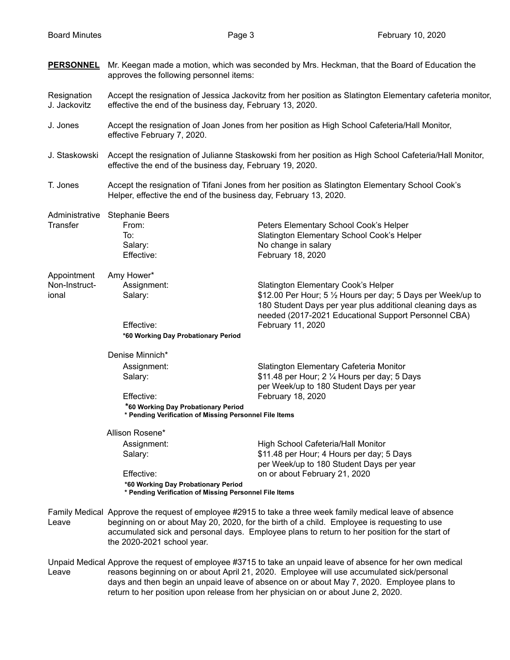| <b>PERSONNEL</b>            | Mr. Keegan made a motion, which was seconded by Mrs. Heckman, that the Board of Education the<br>approves the following personnel items:                               |                                                                                                                                                                                                                                                                                                           |  |
|-----------------------------|------------------------------------------------------------------------------------------------------------------------------------------------------------------------|-----------------------------------------------------------------------------------------------------------------------------------------------------------------------------------------------------------------------------------------------------------------------------------------------------------|--|
| Resignation<br>J. Jackovitz | Accept the resignation of Jessica Jackovitz from her position as Slatington Elementary cafeteria monitor,<br>effective the end of the business day, February 13, 2020. |                                                                                                                                                                                                                                                                                                           |  |
| J. Jones                    | Accept the resignation of Joan Jones from her position as High School Cafeteria/Hall Monitor,<br>effective February 7, 2020.                                           |                                                                                                                                                                                                                                                                                                           |  |
| J. Staskowski               | Accept the resignation of Julianne Staskowski from her position as High School Cafeteria/Hall Monitor,<br>effective the end of the business day, February 19, 2020.    |                                                                                                                                                                                                                                                                                                           |  |
| T. Jones                    | Accept the resignation of Tifani Jones from her position as Slatington Elementary School Cook's<br>Helper, effective the end of the business day, February 13, 2020.   |                                                                                                                                                                                                                                                                                                           |  |
| Administrative              | <b>Stephanie Beers</b>                                                                                                                                                 |                                                                                                                                                                                                                                                                                                           |  |
| Transfer                    | From:                                                                                                                                                                  | Peters Elementary School Cook's Helper                                                                                                                                                                                                                                                                    |  |
|                             | To:                                                                                                                                                                    | Slatington Elementary School Cook's Helper                                                                                                                                                                                                                                                                |  |
|                             | Salary:<br>Effective:                                                                                                                                                  | No change in salary<br>February 18, 2020                                                                                                                                                                                                                                                                  |  |
|                             |                                                                                                                                                                        |                                                                                                                                                                                                                                                                                                           |  |
| Appointment                 | Amy Hower*                                                                                                                                                             |                                                                                                                                                                                                                                                                                                           |  |
| Non-Instruct-               | Assignment:                                                                                                                                                            | Slatington Elementary Cook's Helper                                                                                                                                                                                                                                                                       |  |
| ional                       | Salary:                                                                                                                                                                | \$12.00 Per Hour; 5 1/2 Hours per day; 5 Days per Week/up to<br>180 Student Days per year plus additional cleaning days as<br>needed (2017-2021 Educational Support Personnel CBA)                                                                                                                        |  |
|                             | Effective:                                                                                                                                                             | February 11, 2020                                                                                                                                                                                                                                                                                         |  |
|                             | *60 Working Day Probationary Period                                                                                                                                    |                                                                                                                                                                                                                                                                                                           |  |
|                             | Denise Minnich*                                                                                                                                                        |                                                                                                                                                                                                                                                                                                           |  |
|                             | Assignment:                                                                                                                                                            | Slatington Elementary Cafeteria Monitor                                                                                                                                                                                                                                                                   |  |
|                             | Salary:                                                                                                                                                                | \$11.48 per Hour; 2 1/4 Hours per day; 5 Days                                                                                                                                                                                                                                                             |  |
|                             |                                                                                                                                                                        | per Week/up to 180 Student Days per year                                                                                                                                                                                                                                                                  |  |
|                             | Effective:                                                                                                                                                             | February 18, 2020                                                                                                                                                                                                                                                                                         |  |
|                             | *60 Working Day Probationary Period<br>* Pending Verification of Missing Personnel File Items                                                                          |                                                                                                                                                                                                                                                                                                           |  |
|                             | Allison Rosene*                                                                                                                                                        |                                                                                                                                                                                                                                                                                                           |  |
|                             | Assignment:                                                                                                                                                            | High School Cafeteria/Hall Monitor                                                                                                                                                                                                                                                                        |  |
|                             | Salary:                                                                                                                                                                | \$11.48 per Hour; 4 Hours per day; 5 Days                                                                                                                                                                                                                                                                 |  |
|                             |                                                                                                                                                                        | per Week/up to 180 Student Days per year                                                                                                                                                                                                                                                                  |  |
|                             | Effective:                                                                                                                                                             | on or about February 21, 2020                                                                                                                                                                                                                                                                             |  |
|                             | *60 Working Day Probationary Period<br>* Pending Verification of Missing Personnel File Items                                                                          |                                                                                                                                                                                                                                                                                                           |  |
| Leave                       | the 2020-2021 school year.                                                                                                                                             | Family Medical Approve the request of employee #2915 to take a three week family medical leave of absence<br>beginning on or about May 20, 2020, for the birth of a child. Employee is requesting to use<br>accumulated sick and personal days. Employee plans to return to her position for the start of |  |

Unpaid Medical Approve the request of employee #3715 to take an unpaid leave of absence for her own medical Leave reasons beginning on or about April 21, 2020. Employee will use accumulated sick/personal days and then begin an unpaid leave of absence on or about May 7, 2020. Employee plans to return to her position upon release from her physician on or about June 2, 2020.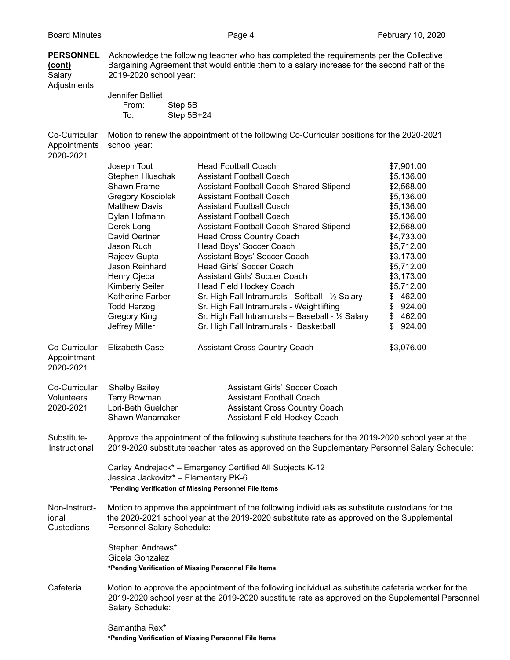| <b>PERSONNEL</b><br><u>(cont)</u><br>Salary<br>Adjustments | Acknowledge the following teacher who has completed the requirements per the Collective<br>Bargaining Agreement that would entitle them to a salary increase for the second half of the<br>2019-2020 school year:            |                                                   |              |  |  |
|------------------------------------------------------------|------------------------------------------------------------------------------------------------------------------------------------------------------------------------------------------------------------------------------|---------------------------------------------------|--------------|--|--|
|                                                            | Jennifer Balliet                                                                                                                                                                                                             |                                                   |              |  |  |
|                                                            | From:<br>Step 5B<br>Step 5B+24<br>To:                                                                                                                                                                                        |                                                   |              |  |  |
| Co-Curricular<br>Appointments<br>2020-2021                 | Motion to renew the appointment of the following Co-Curricular positions for the 2020-2021<br>school year:                                                                                                                   |                                                   |              |  |  |
|                                                            | Joseph Tout                                                                                                                                                                                                                  | <b>Head Football Coach</b>                        | \$7,901.00   |  |  |
|                                                            | Stephen Hluschak                                                                                                                                                                                                             | <b>Assistant Football Coach</b>                   | \$5,136.00   |  |  |
|                                                            | Shawn Frame                                                                                                                                                                                                                  | Assistant Football Coach-Shared Stipend           | \$2,568.00   |  |  |
|                                                            | <b>Gregory Kosciolek</b>                                                                                                                                                                                                     | <b>Assistant Football Coach</b>                   | \$5,136.00   |  |  |
|                                                            | <b>Matthew Davis</b>                                                                                                                                                                                                         | <b>Assistant Football Coach</b>                   | \$5,136.00   |  |  |
|                                                            | Dylan Hofmann                                                                                                                                                                                                                | <b>Assistant Football Coach</b>                   | \$5,136.00   |  |  |
|                                                            | Derek Long                                                                                                                                                                                                                   | Assistant Football Coach-Shared Stipend           | \$2,568.00   |  |  |
|                                                            | David Oertner                                                                                                                                                                                                                | <b>Head Cross Country Coach</b>                   | \$4,733.00   |  |  |
|                                                            | Jason Ruch                                                                                                                                                                                                                   | Head Boys' Soccer Coach                           | \$5,712.00   |  |  |
|                                                            | Rajeev Gupta                                                                                                                                                                                                                 | Assistant Boys' Soccer Coach                      | \$3,173.00   |  |  |
|                                                            | Jason Reinhard                                                                                                                                                                                                               | Head Girls' Soccer Coach                          | \$5,712.00   |  |  |
|                                                            | Henry Ojeda                                                                                                                                                                                                                  | <b>Assistant Girls' Soccer Coach</b>              | \$3,173.00   |  |  |
|                                                            | <b>Kimberly Seiler</b>                                                                                                                                                                                                       | <b>Head Field Hockey Coach</b>                    | \$5,712.00   |  |  |
|                                                            | Katherine Farber                                                                                                                                                                                                             | Sr. High Fall Intramurals - Softball - 1/2 Salary | \$462.00     |  |  |
|                                                            | <b>Todd Herzog</b>                                                                                                                                                                                                           | Sr. High Fall Intramurals - Weightlifting         | 924.00<br>\$ |  |  |
|                                                            | <b>Gregory King</b>                                                                                                                                                                                                          | Sr. High Fall Intramurals - Baseball - 1/2 Salary | \$462.00     |  |  |
|                                                            | Jeffrey Miller                                                                                                                                                                                                               | Sr. High Fall Intramurals - Basketball            | 924.00<br>\$ |  |  |
| Co-Curricular<br>Appointment<br>2020-2021                  | <b>Elizabeth Case</b>                                                                                                                                                                                                        | <b>Assistant Cross Country Coach</b>              | \$3,076.00   |  |  |
| Co-Curricular                                              | <b>Shelby Bailey</b>                                                                                                                                                                                                         | <b>Assistant Girls' Soccer Coach</b>              |              |  |  |
| Volunteers                                                 | <b>Terry Bowman</b>                                                                                                                                                                                                          | <b>Assistant Football Coach</b>                   |              |  |  |
| 2020-2021                                                  | Lori-Beth Guelcher                                                                                                                                                                                                           | <b>Assistant Cross Country Coach</b>              |              |  |  |
|                                                            | Shawn Wanamaker                                                                                                                                                                                                              | <b>Assistant Field Hockey Coach</b>               |              |  |  |
| Substitute-<br>Instructional                               | Approve the appointment of the following substitute teachers for the 2019-2020 school year at the<br>2019-2020 substitute teacher rates as approved on the Supplementary Personnel Salary Schedule:                          |                                                   |              |  |  |
|                                                            | Carley Andrejack* - Emergency Certified All Subjects K-12<br>Jessica Jackovitz* - Elementary PK-6<br>*Pending Verification of Missing Personnel File Items                                                                   |                                                   |              |  |  |
|                                                            |                                                                                                                                                                                                                              |                                                   |              |  |  |
| Non-Instruct-<br>ional<br>Custodians                       | Motion to approve the appointment of the following individuals as substitute custodians for the<br>the 2020-2021 school year at the 2019-2020 substitute rate as approved on the Supplemental<br>Personnel Salary Schedule:  |                                                   |              |  |  |
|                                                            | Stephen Andrews*<br>Gicela Gonzalez<br>*Pending Verification of Missing Personnel File Items                                                                                                                                 |                                                   |              |  |  |
| Cafeteria                                                  | Motion to approve the appointment of the following individual as substitute cafeteria worker for the<br>2019-2020 school year at the 2019-2020 substitute rate as approved on the Supplemental Personnel<br>Salary Schedule: |                                                   |              |  |  |
|                                                            | Samantha Rex*                                                                                                                                                                                                                |                                                   |              |  |  |

**\*Pending Verification of Missing Personnel File Items**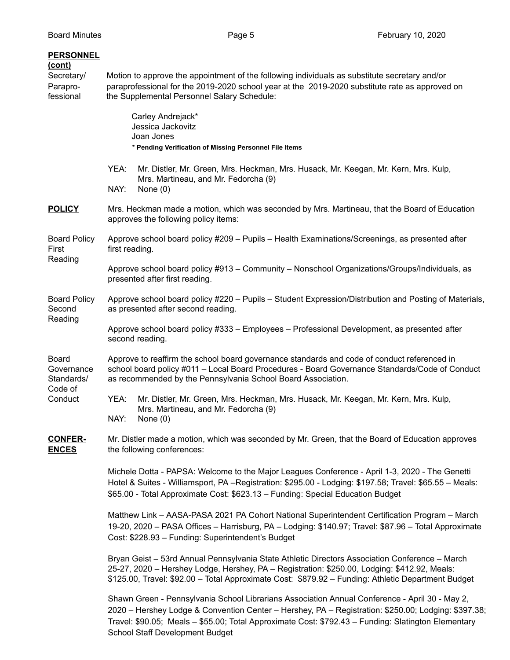| <b>PERSONNEL</b><br><u>(cont)</u><br>Secretary/<br>Parapro-<br>fessional | Motion to approve the appointment of the following individuals as substitute secretary and/or<br>paraprofessional for the 2019-2020 school year at the 2019-2020 substitute rate as approved on<br>the Supplemental Personnel Salary Schedule:                                                       |                                                                                                                                                                                                                                                                                                                                                 |  |  |  |
|--------------------------------------------------------------------------|------------------------------------------------------------------------------------------------------------------------------------------------------------------------------------------------------------------------------------------------------------------------------------------------------|-------------------------------------------------------------------------------------------------------------------------------------------------------------------------------------------------------------------------------------------------------------------------------------------------------------------------------------------------|--|--|--|
|                                                                          |                                                                                                                                                                                                                                                                                                      | Carley Andrejack*<br>Jessica Jackovitz<br>Joan Jones<br>* Pending Verification of Missing Personnel File Items                                                                                                                                                                                                                                  |  |  |  |
|                                                                          | YEA:<br>NAY:                                                                                                                                                                                                                                                                                         | Mr. Distler, Mr. Green, Mrs. Heckman, Mrs. Husack, Mr. Keegan, Mr. Kern, Mrs. Kulp,<br>Mrs. Martineau, and Mr. Fedorcha (9)<br>None $(0)$                                                                                                                                                                                                       |  |  |  |
| <b>POLICY</b>                                                            | Mrs. Heckman made a motion, which was seconded by Mrs. Martineau, that the Board of Education<br>approves the following policy items:                                                                                                                                                                |                                                                                                                                                                                                                                                                                                                                                 |  |  |  |
| <b>Board Policy</b><br>First<br>Reading                                  | Approve school board policy #209 - Pupils - Health Examinations/Screenings, as presented after<br>first reading.                                                                                                                                                                                     |                                                                                                                                                                                                                                                                                                                                                 |  |  |  |
|                                                                          |                                                                                                                                                                                                                                                                                                      | Approve school board policy #913 - Community - Nonschool Organizations/Groups/Individuals, as<br>presented after first reading.                                                                                                                                                                                                                 |  |  |  |
| <b>Board Policy</b><br>Second                                            | Approve school board policy #220 - Pupils - Student Expression/Distribution and Posting of Materials,<br>as presented after second reading.                                                                                                                                                          |                                                                                                                                                                                                                                                                                                                                                 |  |  |  |
| Reading                                                                  | Approve school board policy #333 - Employees - Professional Development, as presented after<br>second reading.                                                                                                                                                                                       |                                                                                                                                                                                                                                                                                                                                                 |  |  |  |
| <b>Board</b><br>Governance<br>Standards/<br>Code of<br>Conduct           | Approve to reaffirm the school board governance standards and code of conduct referenced in<br>school board policy #011 - Local Board Procedures - Board Governance Standards/Code of Conduct<br>as recommended by the Pennsylvania School Board Association.                                        |                                                                                                                                                                                                                                                                                                                                                 |  |  |  |
|                                                                          | YEA:<br>NAY:                                                                                                                                                                                                                                                                                         | Mr. Distler, Mr. Green, Mrs. Heckman, Mrs. Husack, Mr. Keegan, Mr. Kern, Mrs. Kulp,<br>Mrs. Martineau, and Mr. Fedorcha (9)<br>None $(0)$                                                                                                                                                                                                       |  |  |  |
| <b>CONFER-</b><br><b>ENCES</b>                                           | Mr. Distler made a motion, which was seconded by Mr. Green, that the Board of Education approves<br>the following conferences:                                                                                                                                                                       |                                                                                                                                                                                                                                                                                                                                                 |  |  |  |
|                                                                          | Michele Dotta - PAPSA: Welcome to the Major Leagues Conference - April 1-3, 2020 - The Genetti<br>Hotel & Suites - Williamsport, PA -Registration: \$295.00 - Lodging: \$197.58; Travel: \$65.55 - Meals:<br>\$65.00 - Total Approximate Cost: \$623.13 - Funding: Special Education Budget          |                                                                                                                                                                                                                                                                                                                                                 |  |  |  |
|                                                                          | Matthew Link - AASA-PASA 2021 PA Cohort National Superintendent Certification Program - March<br>19-20, 2020 - PASA Offices - Harrisburg, PA - Lodging: \$140.97; Travel: \$87.96 - Total Approximate<br>Cost: \$228.93 - Funding: Superintendent's Budget                                           |                                                                                                                                                                                                                                                                                                                                                 |  |  |  |
|                                                                          | Bryan Geist - 53rd Annual Pennsylvania State Athletic Directors Association Conference - March<br>25-27, 2020 - Hershey Lodge, Hershey, PA - Registration: \$250.00, Lodging: \$412.92, Meals:<br>\$125.00, Travel: \$92.00 - Total Approximate Cost: \$879.92 - Funding: Athletic Department Budget |                                                                                                                                                                                                                                                                                                                                                 |  |  |  |
|                                                                          |                                                                                                                                                                                                                                                                                                      | Shawn Green - Pennsylvania School Librarians Association Annual Conference - April 30 - May 2,<br>2020 - Hershey Lodge & Convention Center - Hershey, PA - Registration: \$250.00; Lodging: \$397.38;<br>Travel: \$90.05; Meals - \$55.00; Total Approximate Cost: \$792.43 - Funding: Slatington Elementary<br>School Staff Development Budget |  |  |  |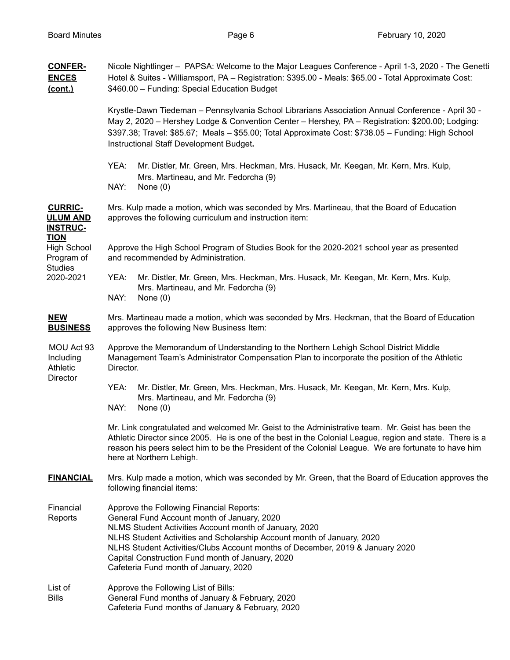| <b>CONFER-</b><br><b>ENCES</b><br>(cont.)                                      | Nicole Nightlinger - PAPSA: Welcome to the Major Leagues Conference - April 1-3, 2020 - The Genetti<br>Hotel & Suites - Williamsport, PA - Registration: \$395.00 - Meals: \$65.00 - Total Approximate Cost:<br>\$460.00 - Funding: Special Education Budget                                                                                                                                              |  |  |  |
|--------------------------------------------------------------------------------|-----------------------------------------------------------------------------------------------------------------------------------------------------------------------------------------------------------------------------------------------------------------------------------------------------------------------------------------------------------------------------------------------------------|--|--|--|
|                                                                                | Krystle-Dawn Tiedeman - Pennsylvania School Librarians Association Annual Conference - April 30 -<br>May 2, 2020 - Hershey Lodge & Convention Center - Hershey, PA - Registration: \$200.00; Lodging:<br>\$397.38; Travel: \$85.67; Meals - \$55.00; Total Approximate Cost: \$738.05 - Funding: High School<br>Instructional Staff Development Budget.                                                   |  |  |  |
|                                                                                | YEA:<br>Mr. Distler, Mr. Green, Mrs. Heckman, Mrs. Husack, Mr. Keegan, Mr. Kern, Mrs. Kulp,<br>Mrs. Martineau, and Mr. Fedorcha (9)<br>NAY:<br>None $(0)$                                                                                                                                                                                                                                                 |  |  |  |
| <b>CURRIC-</b><br><b>ULUM AND</b><br><b>INSTRUC-</b>                           | Mrs. Kulp made a motion, which was seconded by Mrs. Martineau, that the Board of Education<br>approves the following curriculum and instruction item:                                                                                                                                                                                                                                                     |  |  |  |
| <b>TION</b><br><b>High School</b><br>Program of<br><b>Studies</b><br>2020-2021 | Approve the High School Program of Studies Book for the 2020-2021 school year as presented<br>and recommended by Administration.                                                                                                                                                                                                                                                                          |  |  |  |
|                                                                                | YEA:<br>Mr. Distler, Mr. Green, Mrs. Heckman, Mrs. Husack, Mr. Keegan, Mr. Kern, Mrs. Kulp,<br>Mrs. Martineau, and Mr. Fedorcha (9)<br>NAY:<br>None $(0)$                                                                                                                                                                                                                                                 |  |  |  |
| <b>NEW</b><br><b>BUSINESS</b>                                                  | Mrs. Martineau made a motion, which was seconded by Mrs. Heckman, that the Board of Education<br>approves the following New Business Item:                                                                                                                                                                                                                                                                |  |  |  |
| MOU Act 93<br>Including<br>Athletic<br>Director                                | Approve the Memorandum of Understanding to the Northern Lehigh School District Middle<br>Management Team's Administrator Compensation Plan to incorporate the position of the Athletic<br>Director.                                                                                                                                                                                                       |  |  |  |
|                                                                                | YEA:<br>Mr. Distler, Mr. Green, Mrs. Heckman, Mrs. Husack, Mr. Keegan, Mr. Kern, Mrs. Kulp,<br>Mrs. Martineau, and Mr. Fedorcha (9)<br>NAY:<br>None $(0)$                                                                                                                                                                                                                                                 |  |  |  |
|                                                                                | Mr. Link congratulated and welcomed Mr. Geist to the Administrative team. Mr. Geist has been the<br>Athletic Director since 2005. He is one of the best in the Colonial League, region and state. There is a<br>reason his peers select him to be the President of the Colonial League. We are fortunate to have him<br>here at Northern Lehigh.                                                          |  |  |  |
| <b>FINANCIAL</b>                                                               | Mrs. Kulp made a motion, which was seconded by Mr. Green, that the Board of Education approves the<br>following financial items:                                                                                                                                                                                                                                                                          |  |  |  |
| Financial<br>Reports                                                           | Approve the Following Financial Reports:<br>General Fund Account month of January, 2020<br>NLMS Student Activities Account month of January, 2020<br>NLHS Student Activities and Scholarship Account month of January, 2020<br>NLHS Student Activities/Clubs Account months of December, 2019 & January 2020<br>Capital Construction Fund month of January, 2020<br>Cafeteria Fund month of January, 2020 |  |  |  |
| List of<br><b>Bills</b>                                                        | Approve the Following List of Bills:<br>General Fund months of January & February, 2020<br>Cafeteria Fund months of January & February, 2020                                                                                                                                                                                                                                                              |  |  |  |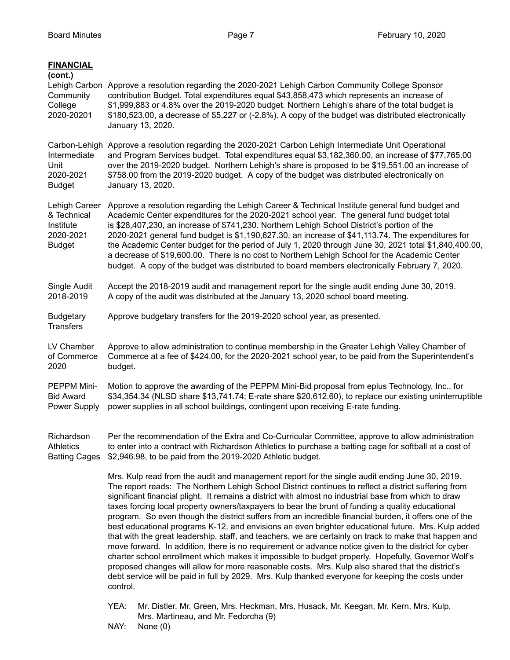| Lehigh Carbon Approve a resolution regarding the 2020-2021 Lehigh Carbon Community College Sponsor<br>contribution Budget. Total expenditures equal \$43,858,473 which represents an increase of<br>\$1,999,883 or 4.8% over the 2019-2020 budget. Northern Lehigh's share of the total budget is<br>\$180,523.00, a decrease of \$5,227 or (-2.8%). A copy of the budget was distributed electronically<br>January 13, 2020.                                                                                                                                                                                                                                                                                                                                                                                                                                                                                                                                                                                                                                                                                                                                                                                                                                                   |  |  |
|---------------------------------------------------------------------------------------------------------------------------------------------------------------------------------------------------------------------------------------------------------------------------------------------------------------------------------------------------------------------------------------------------------------------------------------------------------------------------------------------------------------------------------------------------------------------------------------------------------------------------------------------------------------------------------------------------------------------------------------------------------------------------------------------------------------------------------------------------------------------------------------------------------------------------------------------------------------------------------------------------------------------------------------------------------------------------------------------------------------------------------------------------------------------------------------------------------------------------------------------------------------------------------|--|--|
| Carbon-Lehigh Approve a resolution regarding the 2020-2021 Carbon Lehigh Intermediate Unit Operational<br>and Program Services budget. Total expenditures equal \$3,182,360.00, an increase of \$77,765.00<br>over the 2019-2020 budget. Northern Lehigh's share is proposed to be \$19,551.00 an increase of<br>\$758.00 from the 2019-2020 budget. A copy of the budget was distributed electronically on<br>January 13, 2020.                                                                                                                                                                                                                                                                                                                                                                                                                                                                                                                                                                                                                                                                                                                                                                                                                                                |  |  |
| Lehigh Career<br>Approve a resolution regarding the Lehigh Career & Technical Institute general fund budget and<br>Academic Center expenditures for the 2020-2021 school year. The general fund budget total<br>is \$28,407,230, an increase of \$741,230. Northern Lehigh School District's portion of the<br>2020-2021 general fund budget is \$1,190,627.30, an increase of \$41,113.74. The expenditures for<br>the Academic Center budget for the period of July 1, 2020 through June 30, 2021 total \$1,840,400.00,<br>a decrease of \$19,600.00. There is no cost to Northern Lehigh School for the Academic Center<br>budget. A copy of the budget was distributed to board members electronically February 7, 2020.                                                                                                                                                                                                                                                                                                                                                                                                                                                                                                                                                    |  |  |
| Accept the 2018-2019 audit and management report for the single audit ending June 30, 2019.<br>A copy of the audit was distributed at the January 13, 2020 school board meeting.                                                                                                                                                                                                                                                                                                                                                                                                                                                                                                                                                                                                                                                                                                                                                                                                                                                                                                                                                                                                                                                                                                |  |  |
| Approve budgetary transfers for the 2019-2020 school year, as presented.                                                                                                                                                                                                                                                                                                                                                                                                                                                                                                                                                                                                                                                                                                                                                                                                                                                                                                                                                                                                                                                                                                                                                                                                        |  |  |
| Approve to allow administration to continue membership in the Greater Lehigh Valley Chamber of<br>Commerce at a fee of \$424.00, for the 2020-2021 school year, to be paid from the Superintendent's<br>budget.                                                                                                                                                                                                                                                                                                                                                                                                                                                                                                                                                                                                                                                                                                                                                                                                                                                                                                                                                                                                                                                                 |  |  |
| Motion to approve the awarding of the PEPPM Mini-Bid proposal from eplus Technology, Inc., for<br>\$34,354.34 (NLSD share \$13,741.74; E-rate share \$20,612.60), to replace our existing uninterruptible<br>power supplies in all school buildings, contingent upon receiving E-rate funding.                                                                                                                                                                                                                                                                                                                                                                                                                                                                                                                                                                                                                                                                                                                                                                                                                                                                                                                                                                                  |  |  |
| Per the recommendation of the Extra and Co-Curricular Committee, approve to allow administration<br>to enter into a contract with Richardson Athletics to purchase a batting cage for softball at a cost of<br>\$2,946.98, to be paid from the 2019-2020 Athletic budget.                                                                                                                                                                                                                                                                                                                                                                                                                                                                                                                                                                                                                                                                                                                                                                                                                                                                                                                                                                                                       |  |  |
| Mrs. Kulp read from the audit and management report for the single audit ending June 30, 2019.<br>The report reads: The Northern Lehigh School District continues to reflect a district suffering from<br>significant financial plight. It remains a district with almost no industrial base from which to draw<br>taxes forcing local property owners/taxpayers to bear the brunt of funding a quality educational<br>program. So even though the district suffers from an incredible financial burden, it offers one of the<br>best educational programs K-12, and envisions an even brighter educational future. Mrs. Kulp added<br>that with the great leadership, staff, and teachers, we are certainly on track to make that happen and<br>move forward. In addition, there is no requirement or advance notice given to the district for cyber<br>charter school enrollment which makes it impossible to budget properly. Hopefully, Governor Wolf's<br>proposed changes will allow for more reasonable costs. Mrs. Kulp also shared that the district's<br>debt service will be paid in full by 2029. Mrs. Kulp thanked everyone for keeping the costs under<br>control.<br>YEA:<br>Mr. Distler, Mr. Green, Mrs. Heckman, Mrs. Husack, Mr. Keegan, Mr. Kern, Mrs. Kulp, |  |  |
| <b>Batting Cages</b>                                                                                                                                                                                                                                                                                                                                                                                                                                                                                                                                                                                                                                                                                                                                                                                                                                                                                                                                                                                                                                                                                                                                                                                                                                                            |  |  |

- Mrs. Martineau, and Mr. Fedorcha (9)
- NAY: None (0)